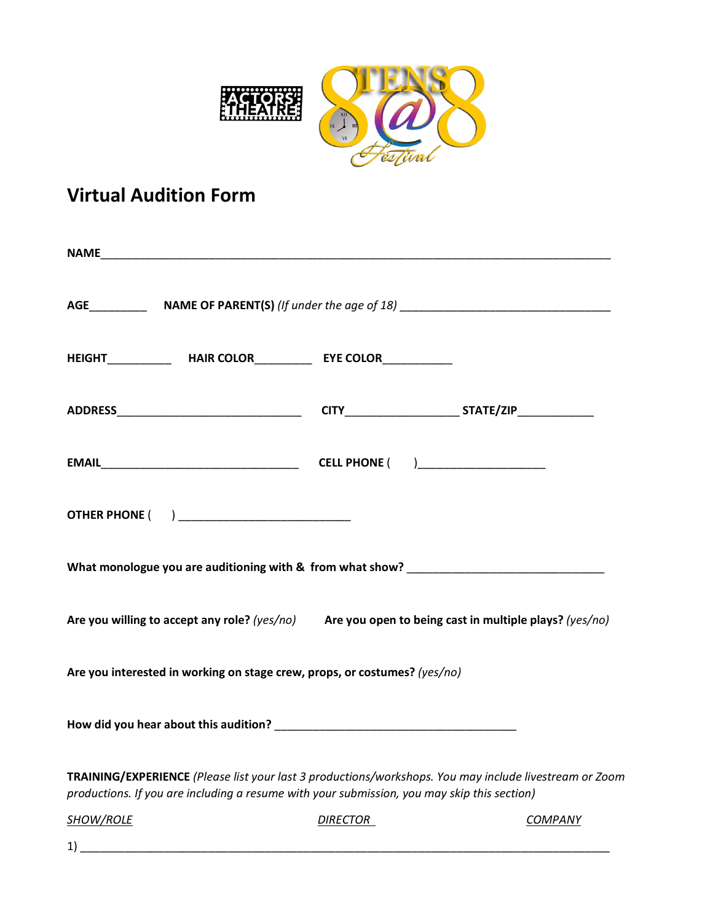

## **Virtual Audition Form**

| HEIGHT_________________HAIR COLOR_______________EYE COLOR_______________________                                                                                                                      |                 |         |  |  |  |  |  |  |
|-------------------------------------------------------------------------------------------------------------------------------------------------------------------------------------------------------|-----------------|---------|--|--|--|--|--|--|
|                                                                                                                                                                                                       |                 |         |  |  |  |  |  |  |
|                                                                                                                                                                                                       |                 |         |  |  |  |  |  |  |
| <b>OTHER PHONE ( ) ____________________________</b>                                                                                                                                                   |                 |         |  |  |  |  |  |  |
|                                                                                                                                                                                                       |                 |         |  |  |  |  |  |  |
| Are you willing to accept any role? (yes/no) Are you open to being cast in multiple plays? (yes/no)                                                                                                   |                 |         |  |  |  |  |  |  |
| Are you interested in working on stage crew, props, or costumes? (yes/no)                                                                                                                             |                 |         |  |  |  |  |  |  |
|                                                                                                                                                                                                       |                 |         |  |  |  |  |  |  |
| TRAINING/EXPERIENCE (Please list your last 3 productions/workshops. You may include livestream or Zoom<br>productions. If you are including a resume with your submission, you may skip this section) |                 |         |  |  |  |  |  |  |
| <b>SHOW/ROLE</b>                                                                                                                                                                                      | <b>DIRECTOR</b> | COMPANY |  |  |  |  |  |  |

1) \_\_\_\_\_\_\_\_\_\_\_\_\_\_\_\_\_\_\_\_\_\_\_\_\_\_\_\_\_\_\_\_\_\_\_\_\_\_\_\_\_\_\_\_\_\_\_\_\_\_\_\_\_\_\_\_\_\_\_\_\_\_\_\_\_\_\_\_\_\_\_\_\_\_\_\_\_\_\_\_\_\_\_